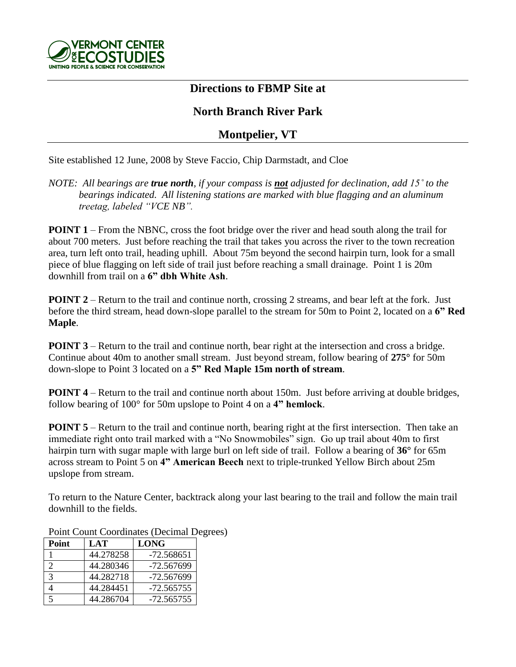

## **Directions to FBMP Site at**

## **North Branch River Park**

## **Montpelier, VT**

Site established 12 June, 2008 by Steve Faccio, Chip Darmstadt, and Cloe

## *NOTE: All bearings are true north, if your compass is not adjusted for declination, add 15˚ to the bearings indicated. All listening stations are marked with blue flagging and an aluminum treetag, labeled "VCE NB".*

**POINT 1** – From the NBNC, cross the foot bridge over the river and head south along the trail for about 700 meters. Just before reaching the trail that takes you across the river to the town recreation area, turn left onto trail, heading uphill. About 75m beyond the second hairpin turn, look for a small piece of blue flagging on left side of trail just before reaching a small drainage. Point 1 is 20m downhill from trail on a **6" dbh White Ash**.

**POINT 2** – Return to the trail and continue north, crossing 2 streams, and bear left at the fork. Just before the third stream, head down-slope parallel to the stream for 50m to Point 2, located on a **6" Red Maple**.

**POINT 3** – Return to the trail and continue north, bear right at the intersection and cross a bridge. Continue about 40m to another small stream. Just beyond stream, follow bearing of **275°** for 50m down-slope to Point 3 located on a **5" Red Maple 15m north of stream**.

**POINT 4** – Return to the trail and continue north about 150m. Just before arriving at double bridges, follow bearing of 100° for 50m upslope to Point 4 on a **4" hemlock**.

**POINT 5** – Return to the trail and continue north, bearing right at the first intersection. Then take an immediate right onto trail marked with a "No Snowmobiles" sign. Go up trail about 40m to first hairpin turn with sugar maple with large burl on left side of trail. Follow a bearing of **36°** for 65m across stream to Point 5 on **4" American Beech** next to triple-trunked Yellow Birch about 25m upslope from stream.

To return to the Nature Center, backtrack along your last bearing to the trail and follow the main trail downhill to the fields.

| Point | LAT       | <b>LONG</b>  |
|-------|-----------|--------------|
|       | 44.278258 | $-72.568651$ |
|       | 44.280346 | -72.567699   |
|       | 44.282718 | -72.567699   |
|       | 44.284451 | $-72.565755$ |
|       | 44.286704 | $-72.565755$ |

Point Count Coordinates (Decimal Degrees)